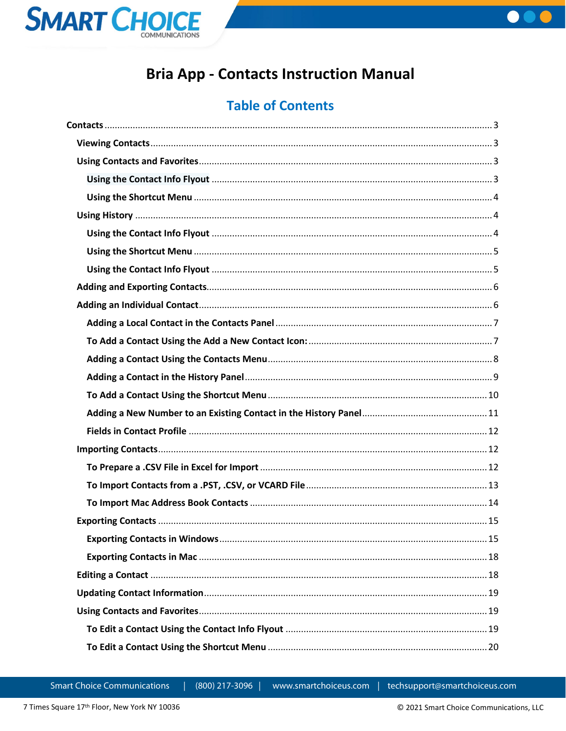



# **Bria App - Contacts Instruction Manual**

# **Table of Contents**

(800) 217-3096 |

www.smartchoiceus.com

techsupport@smartchoiceus.com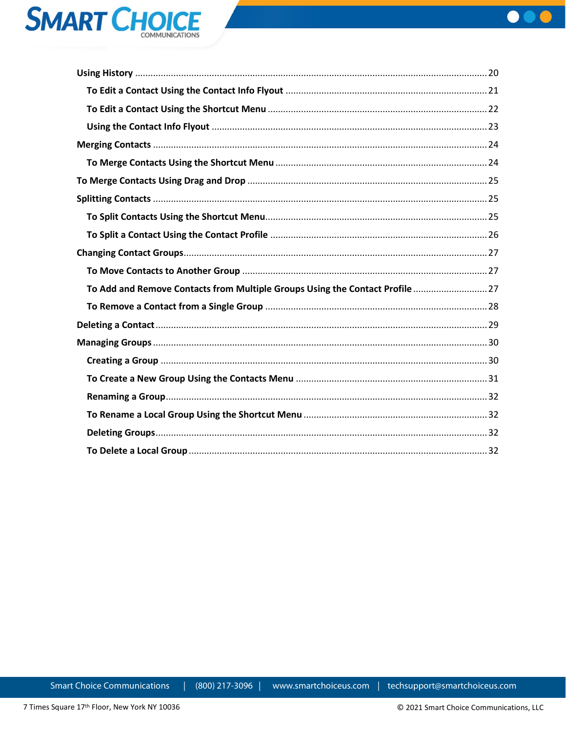



| To Add and Remove Contacts from Multiple Groups Using the Contact Profile  27 |  |
|-------------------------------------------------------------------------------|--|
|                                                                               |  |
|                                                                               |  |
|                                                                               |  |
|                                                                               |  |
|                                                                               |  |
|                                                                               |  |
|                                                                               |  |
|                                                                               |  |
|                                                                               |  |

**Smart Choice Communications** 

(800) 217-3096 |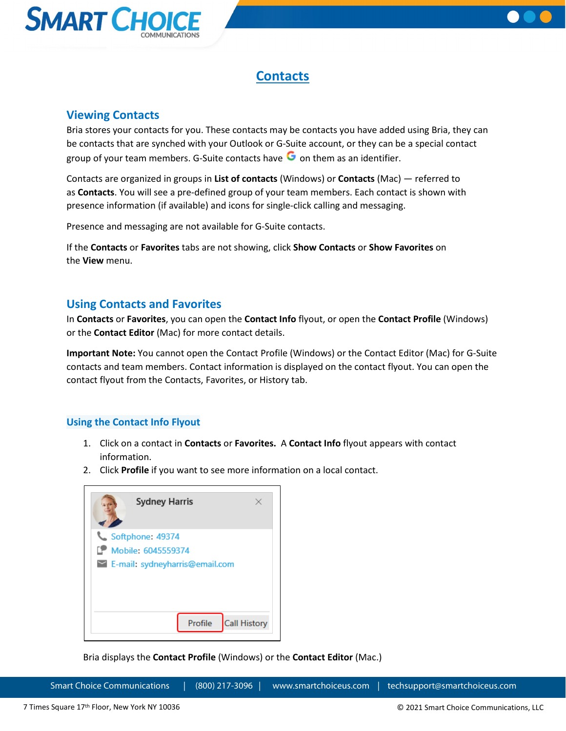



## **Contacts**

## <span id="page-2-1"></span><span id="page-2-0"></span>**Viewing Contacts**

Bria stores your contacts for you. These contacts may be contacts you have added using Bria, they can be contacts that are synched with your Outlook or G-Suite account, or they can be a special contact group of your team members. G-Suite contacts have  $\bullet$  on them as an identifier.

Contacts are organized in groups in **List of contacts** (Windows) or **Contacts** (Mac) — referred to as **Contacts**. You will see a pre-defined group of your team members. Each contact is shown with presence information (if available) and icons for single-click calling and messaging.

Presence and messaging are not available for G-Suite contacts.

If the **Contacts** or **Favorites** tabs are not showing, click **Show Contacts** or **Show Favorites** on the **View** menu.

## <span id="page-2-2"></span>**Using Contacts and Favorites**

In **Contacts** or **Favorites**, you can open the **Contact Info** flyout, or open the **Contact Profile** (Windows) or the **Contact Editor** (Mac) for more contact details.

**Important Note:** You cannot open the Contact Profile (Windows) or the Contact Editor (Mac) for G-Suite contacts and team members. Contact information is displayed on the contact flyout. You can open the contact flyout from the Contacts, Favorites, or History tab.

## <span id="page-2-3"></span>**Using the Contact Info Flyout**

- 1. Click on a contact in **Contacts** or **Favorites.** A **Contact Info** flyout appears with contact information.
- 2. Click **Profile** if you want to see more information on a local contact.



Bria displays the **Contact Profile** (Windows) or the **Contact Editor** (Mac.)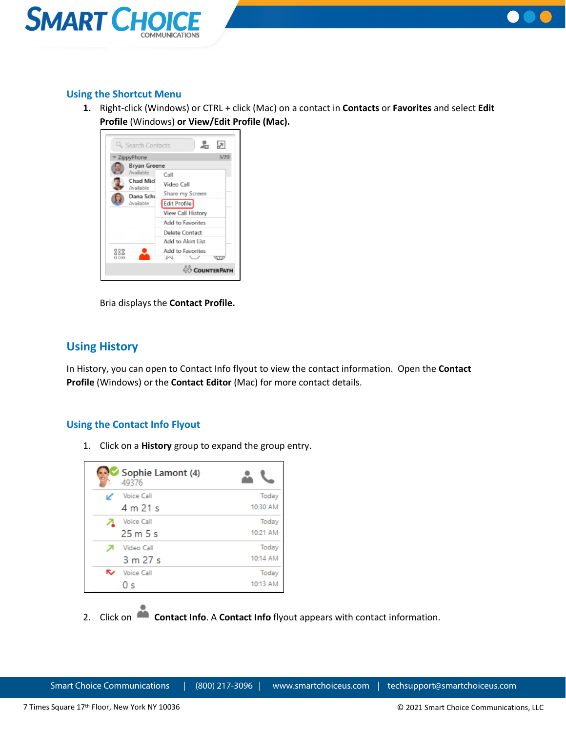



## <span id="page-3-0"></span>**Using the Shortcut Menu**

**1.** Right-click (Windows) or CTRL + click (Mac) on a contact in **Contacts** or **Favorites** and select **Edit Profile** (Windows) **or View/Edit Profile (Mac).**



Bria displays the **Contact Profile.**

## <span id="page-3-1"></span>**Using History**

In History, you can open to Contact Info flyout to view the contact information. Open the **Contact Profile** (Windows) or the **Contact Editor** (Mac) for more contact details.

## <span id="page-3-2"></span>**Using the Contact Info Flyout**

1. Click on a **History** group to expand the group entry.

| Sophie Lamont (4)<br>49376 |          |
|----------------------------|----------|
| <b>Voice Call</b>          | Today    |
| 4 m 21 s                   | 10:30 AM |
| <b>Voice Call</b>          | Today    |
| 25m5s                      | 10:21 AM |
| Video Call                 | Today    |
| 3 m 27 s                   | 10:14 AM |
| <b>Voice Call</b>          | Today    |
| 0 s                        | 10:13 AM |

2. Click on **Contact Info**. A **Contact Info** flyout appears with contact information.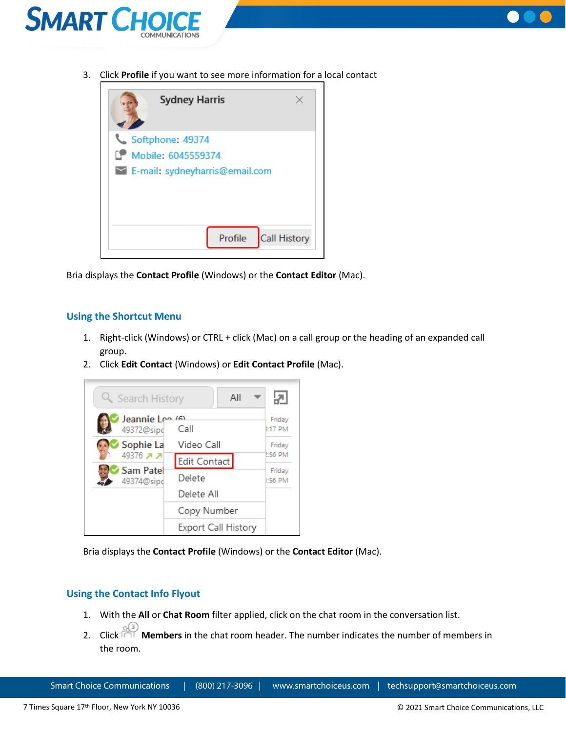



3. Click **Profile** if you want to see more information for a local contact



Bria displays the **Contact Profile** (Windows) or the **Contact Editor** (Mac).

#### <span id="page-4-0"></span>**Using the Shortcut Menu**

- 1. Right-click (Windows) or CTRL + click (Mac) on a call group or the heading of an expanded call group.
- 2. Click **Edit Contact** (Windows) or **Edit Contact Profile** (Mac).



Bria displays the **Contact Profile** (Windows) or the **Contact Editor** (Mac).

#### <span id="page-4-1"></span>**Using the Contact Info Flyout**

- 1. With the **All** or **Chat Room** filter applied, click on the chat room in the conversation list.
- 2. Click **Members** in the chat room header. The number indicates the number of members in the room.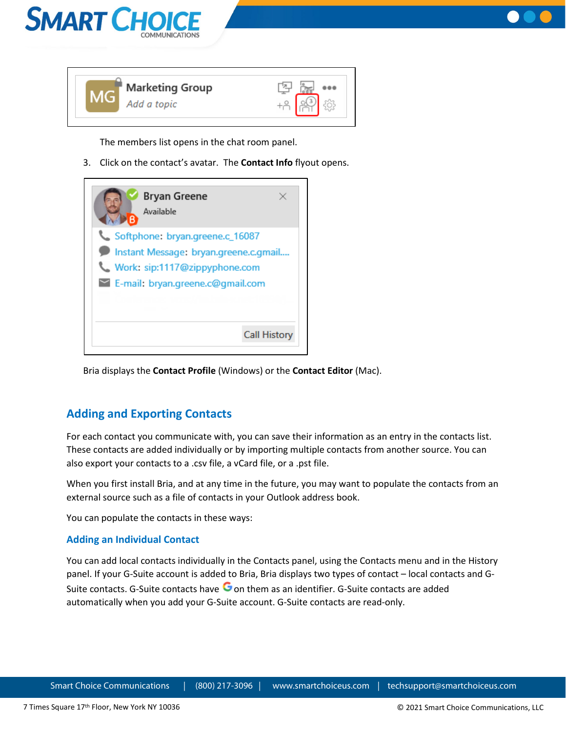



The members list opens in the chat room panel.

3. Click on the contact's avatar. The **Contact Info** flyout opens.



Bria displays the **Contact Profile** (Windows) or the **Contact Editor** (Mac).

## <span id="page-5-0"></span>**Adding and Exporting Contacts**

For each contact you communicate with, you can save their information as an entry in the contacts list. These contacts are added individually or by importing multiple contacts from another source. You can also export your contacts to a .csv file, a vCard file, or a .pst file.

When you first install Bria, and at any time in the future, you may want to populate the contacts from an external source such as a file of contacts in your Outlook address book.

You can populate the contacts in these ways:

## <span id="page-5-1"></span>**Adding an Individual Contact**

You can add local contacts individually in the Contacts panel, using the Contacts menu and in the History panel. If your G-Suite account is added to Bria, Bria displays two types of contact – local contacts and G-Suite contacts. G-Suite contacts have  $\bullet$  on them as an identifier. G-Suite contacts are added automatically when you add your G-Suite account. G-Suite contacts are read-only.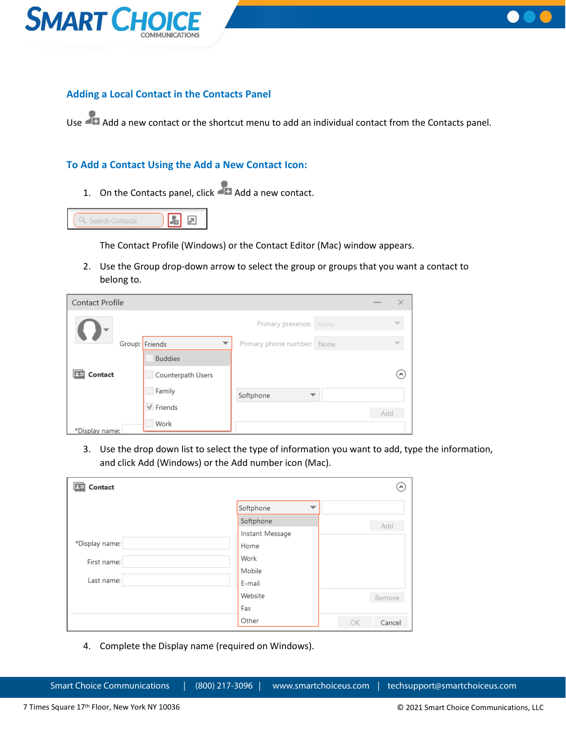



## <span id="page-6-0"></span>**Adding a Local Contact in the Contacts Panel**

Use Add a new contact or the shortcut menu to add an individual contact from the Contacts panel.

#### <span id="page-6-1"></span>**To Add a Contact Using the Add a New Contact Icon:**

1. On the Contacts panel, click **Add** a new contact.



The Contact Profile (Windows) or the Contact Editor (Mac) window appears.

2. Use the Group drop-down arrow to select the group or groups that you want a contact to belong to.

| Contact Profile |                   |                            |     | × |
|-----------------|-------------------|----------------------------|-----|---|
|                 |                   | Primary presence: None     |     |   |
| Group: Friends  |                   | Primary phone number: None |     |   |
|                 | <b>Buddies</b>    |                            |     |   |
| Contact         | Counterpath Users |                            |     |   |
|                 | Family            | Softphone                  |     |   |
|                 | $\sqrt{}$ Friends |                            | Add |   |
| *Display name:  | Work              |                            |     |   |

3. Use the drop down list to select the type of information you want to add, type the information, and click Add (Windows) or the Add number icon (Mac).

| Contact        |                 | ۸            |
|----------------|-----------------|--------------|
|                | Softphone       |              |
|                | Softphone       | Add          |
|                | Instant Message |              |
| *Display name: | Home            |              |
| First name:    | Work            |              |
|                | Mobile          |              |
| Last name:     | E-mail          |              |
|                | Website         | Remove       |
|                | Fax             |              |
|                | Other           | Cancel<br>OK |

4. Complete the Display name (required on Windows).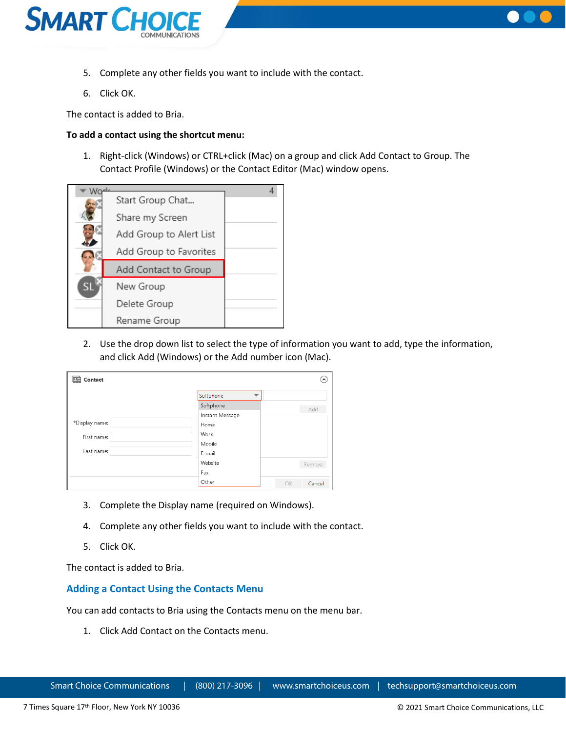



- 5. Complete any other fields you want to include with the contact.
- 6. Click OK.

The contact is added to Bria.

#### **To add a contact using the shortcut menu:**

1. Right-click (Windows) or CTRL+click (Mac) on a group and click Add Contact to Group. The Contact Profile (Windows) or the Contact Editor (Mac) window opens.



2. Use the drop down list to select the type of information you want to add, type the information, and click Add (Windows) or the Add number icon (Mac).

| Contact        |                                       | $\left( \right)$ |
|----------------|---------------------------------------|------------------|
|                | Softphone<br>$\overline{\phantom{a}}$ |                  |
|                | Softphone                             | Add              |
|                | Instant Message                       |                  |
| *Display name: | Home                                  |                  |
| First name:    | Work                                  |                  |
|                | Mobile                                |                  |
| Last name:     | E-mail                                |                  |
|                | Website                               | Remove           |
|                | Fax                                   |                  |
|                | Other                                 | OK<br>Cancel     |

- 3. Complete the Display name (required on Windows).
- 4. Complete any other fields you want to include with the contact.
- 5. Click OK.

The contact is added to Bria.

#### <span id="page-7-0"></span>**Adding a Contact Using the Contacts Menu**

You can add contacts to Bria using the Contacts menu on the menu bar.

1. Click Add Contact on the Contacts menu.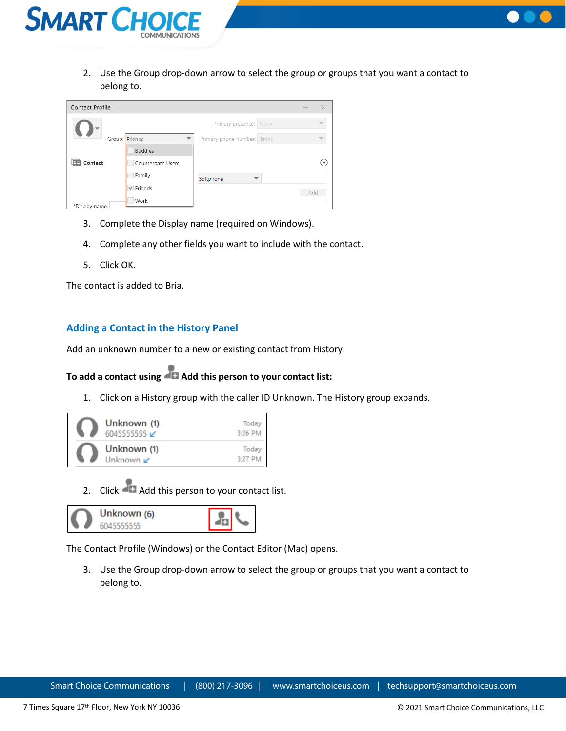



| Contact Profile |                   |                            |     | ×                          |
|-----------------|-------------------|----------------------------|-----|----------------------------|
|                 |                   | Primary presence: None     |     |                            |
|                 | Group: Friends    | Primary phone number: None |     |                            |
|                 | <b>Buddies</b>    |                            |     |                            |
| Contact         | Counterpath Users |                            |     | $\left( \mathbf{A}\right)$ |
|                 | Family            | Softphone                  |     |                            |
|                 | $\vee$ Friends    |                            | Add |                            |
| *Disnlay name:  | Work              |                            |     |                            |

- 3. Complete the Display name (required on Windows).
- 4. Complete any other fields you want to include with the contact.
- 5. Click OK.

The contact is added to Bria.

#### <span id="page-8-0"></span>**Adding a Contact in the History Panel**

Add an unknown number to a new or existing contact from History.

## **[To add a contact using Add this person to your contact list:](https://docs.counterpath.com/docs/DeskUG/clients/UserGuides/Desktop/contacts/deskAddIndividualContact.htm)**

1. Click on a History group with the caller ID Unknown. The History group expands.



2. Click Add this person to your contact list.



The Contact Profile (Windows) or the Contact Editor (Mac) opens.

3. Use the Group drop-down arrow to select the group or groups that you want a contact to belong to.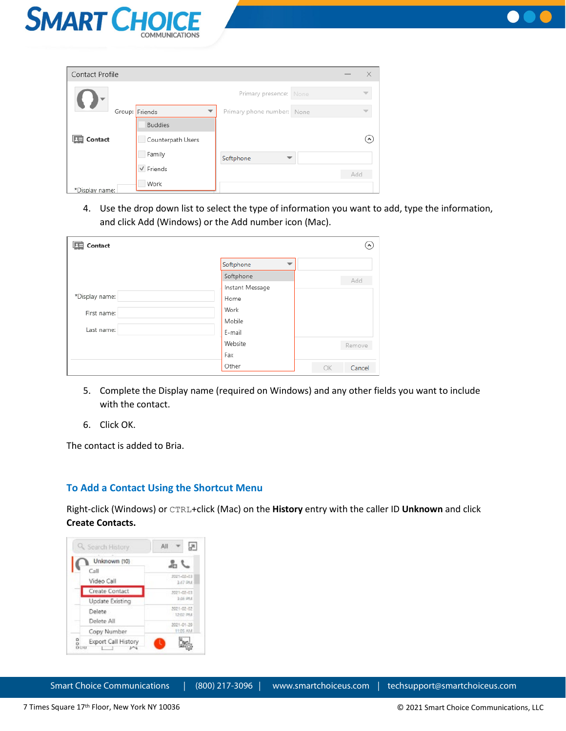



| Contact Profile |                                            |                            |     | $\times$            |
|-----------------|--------------------------------------------|----------------------------|-----|---------------------|
|                 |                                            | Primary presence: None     |     |                     |
|                 | Group: Friends<br>$\overline{\phantom{a}}$ | Primary phone number: None |     |                     |
|                 | <b>Buddies</b>                             |                            |     |                     |
| Contact         | Counterpath Users                          |                            |     | $\hat{\phantom{a}}$ |
|                 | Family                                     | Softphone                  |     |                     |
|                 | $\sqrt{}$ Friends                          |                            | Add |                     |
| *Display name:  | Work                                       |                            |     |                     |

4. Use the drop down list to select the type of information you want to add, type the information, and click Add (Windows) or the Add number icon (Mac).

| Contact        |                 | ᄾ            |
|----------------|-----------------|--------------|
|                | Softphone       |              |
|                | Softphone       | Add          |
|                | Instant Message |              |
| *Display name: | Home            |              |
| First name:    | Work            |              |
|                | Mobile          |              |
| Last name:     | E-mail          |              |
|                | Website         | Remove       |
|                | Fax             |              |
|                | Other           | OK<br>Cancel |

- 5. Complete the Display name (required on Windows) and any other fields you want to include with the contact.
- 6. Click OK.

The contact is added to Bria.

#### <span id="page-9-0"></span>**To Add a Contact Using the Shortcut Menu**

Right-click (Windows) or CTRL+click (Mac) on the **History** entry with the caller ID **Unknown** and click **Create Contacts.**

| <b>Q</b> Search History                      | All                    |
|----------------------------------------------|------------------------|
| Unknown (10)<br>Call                         |                        |
| Video Call                                   | 2021-02-03<br>3:47 PM  |
| Create Contact                               | 2021-02-03             |
| Update Existing                              | \$55,994               |
| Delete<br>Delete All                         | 2021-02-02<br>12:02 PM |
| Copy Number                                  | 2021-01-20<br>11:05 AM |
| $\frac{1}{10}$<br>Export Call History<br>OUU |                        |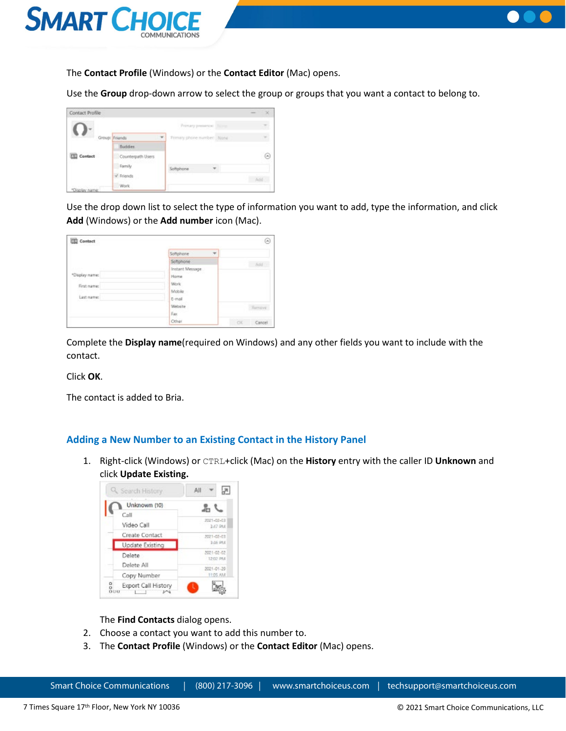



The **Contact Profile** (Windows) or the **Contact Editor** (Mac) opens.

Use the **Group** drop-down arrow to select the group or groups that you want a contact to belong to.

| Contact Profile |                   |                            | ×  |
|-----------------|-------------------|----------------------------|----|
|                 |                   | Primary presence: Titime   |    |
|                 | Group: Friends    | Primary phone number: None |    |
|                 | Suddes            |                            |    |
| Contact         | Counterpath Users |                            | (m |
|                 | Family            | Softphone                  |    |
|                 | V Friends         |                            |    |
| solay name      | Work              |                            |    |

Use the drop down list to select the type of information you want to add, type the information, and click **Add** (Windows) or the **Add number** icon (Mac).

| Contact                 |                                       | $(\kappa)$          |
|-------------------------|---------------------------------------|---------------------|
|                         | Softphone<br>$\overline{\phantom{a}}$ |                     |
|                         | Sattphone                             | Add                 |
|                         | Instant Message                       |                     |
| "Display name:          | Home                                  |                     |
| First name:             | <b>Work</b>                           |                     |
|                         | Mobile                                |                     |
| Last name:<br>,,,,,,,,, | E-mail                                |                     |
|                         | Website                               | Remove              |
|                         | Fax:                                  |                     |
|                         | Other                                 | <b>CK</b><br>Cancel |

Complete the **Display name**(required on Windows) and any other fields you want to include with the contact.

Click **OK**.

The contact is added to Bria.

#### <span id="page-10-0"></span>**Adding a New Number to an Existing Contact in the History Panel**

1. Right-click (Windows) or CTRL+click (Mac) on the **History** entry with the caller ID **Unknown** and click **Update Existing.**



The **Find Contacts** dialog opens.

- 2. Choose a contact you want to add this number to.
- 3. The **Contact Profile** (Windows) or the **Contact Editor** (Mac) opens.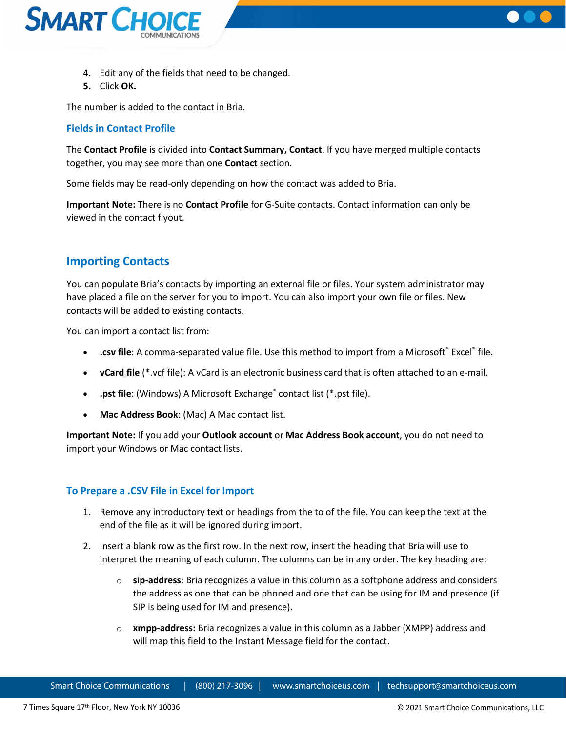



- 4. Edit any of the fields that need to be changed.
- **5.** Click **OK.**

The number is added to the contact in Bria.

## <span id="page-11-0"></span>**Fields in Contact Profile**

The **Contact Profile** is divided into **Contact Summary, Contact**. If you have merged multiple contacts together, you may see more than one **Contact** section.

Some fields may be read-only depending on how the contact was added to Bria.

**Important Note:** There is no **Contact Profile** for G-Suite contacts. Contact information can only be viewed in the contact flyout.

## <span id="page-11-1"></span>**Importing Contacts**

You can populate Bria's contacts by importing an external file or files. Your system administrator may have placed a file on the server for you to import. You can also import your own file or files. New contacts will be added to existing contacts.

You can import a contact list from:

- **.csv file**: A comma-separated value file. Use this method to import from a Microsoft<sup>®</sup> Excel<sup>®</sup> file.
- **vCard file** (\*.vcf file): A vCard is an electronic business card that is often attached to an e-mail.
- **.pst file**: (Windows) A Microsoft Exchange<sup>®</sup> contact list (\*.pst file).
- **Mac Address Book**: (Mac) A Mac contact list.

**Important Note:** If you add your **Outlook account** or **Mac Address Book account**, you do not need to import your Windows or Mac contact lists.

## <span id="page-11-2"></span>**To Prepare a .CSV File in Excel for Import**

- 1. Remove any introductory text or headings from the to of the file. You can keep the text at the end of the file as it will be ignored during import.
- 2. Insert a blank row as the first row. In the next row, insert the heading that Bria will use to interpret the meaning of each column. The columns can be in any order. The key heading are:
	- o **sip-address**: Bria recognizes a value in this column as a softphone address and considers the address as one that can be phoned and one that can be using for IM and presence (if SIP is being used for IM and presence).
	- o **xmpp-address:** Bria recognizes a value in this column as a Jabber (XMPP) address and will map this field to the Instant Message field for the contact.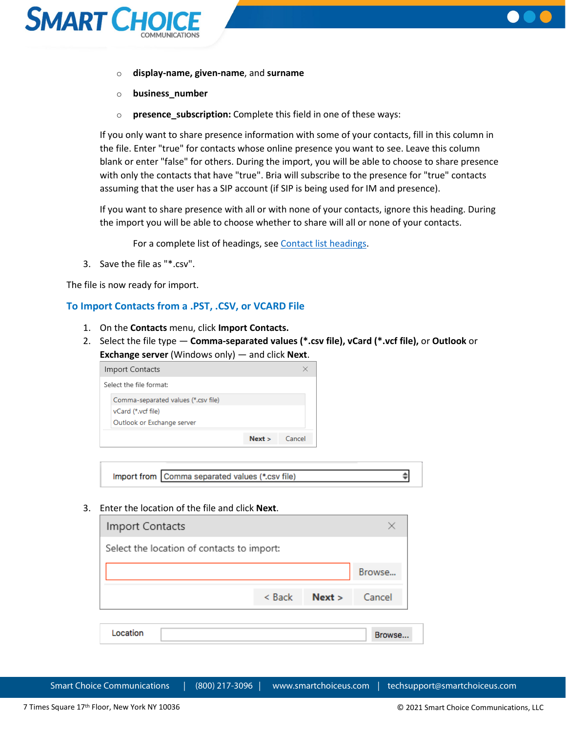



- o **display-name, given-name**, and **surname**
- o **business\_number**
- o **presence\_subscription:** Complete this field in one of these ways:

If you only want to share presence information with some of your contacts, fill in this column in the file. Enter "true" for contacts whose online presence you want to see. Leave this column blank or enter "false" for others. During the import, you will be able to choose to share presence with only the contacts that have "true". Bria will subscribe to the presence for "true" contacts assuming that the user has a SIP account (if SIP is being used for IM and presence).

If you want to share presence with all or with none of your contacts, ignore this heading. During the import you will be able to choose whether to share will all or none of your contacts.

For a complete list of headings, see [Contact list headings.](https://docs.counterpath.com/docs/DeskUG/clients/UserGuides/Desktop/reference/deskContactHeadings.htm)

3. Save the file as "\*.csv".

The file is now ready for import.

#### <span id="page-12-0"></span>**To Import Contacts from a .PST, .CSV, or VCARD File**

- 1. On the **Contacts** menu, click **Import Contacts.**
- 2. Select the file type **Comma-separated values (\*.csv file), vCard (\*.vcf file),** or **Outlook** or **Exchange server** (Windows only) — and click **Next**.

| Import Contacts                     |      |        |
|-------------------------------------|------|--------|
| Select the file format:             |      |        |
| Comma-separated values (*.csv file) |      |        |
| vCard (*.vcf file)                  |      |        |
| Outlook or Exchange server          |      |        |
|                                     | Next | Cancel |

Import from Comma separated values (\*.csv file)

3. Enter the location of the file and click **Next**.

| Import Contacts                            |          |        |               |
|--------------------------------------------|----------|--------|---------------|
| Select the location of contacts to import: |          |        |               |
|                                            |          |        | Browse        |
|                                            | $<$ Back | Next > | Cancel        |
| Location                                   |          |        | <b>Browse</b> |

Smart Choice Communications | (800) 217-3096 | www.smartchoiceus.com | techsupport@smartchoiceus.com

 $\div$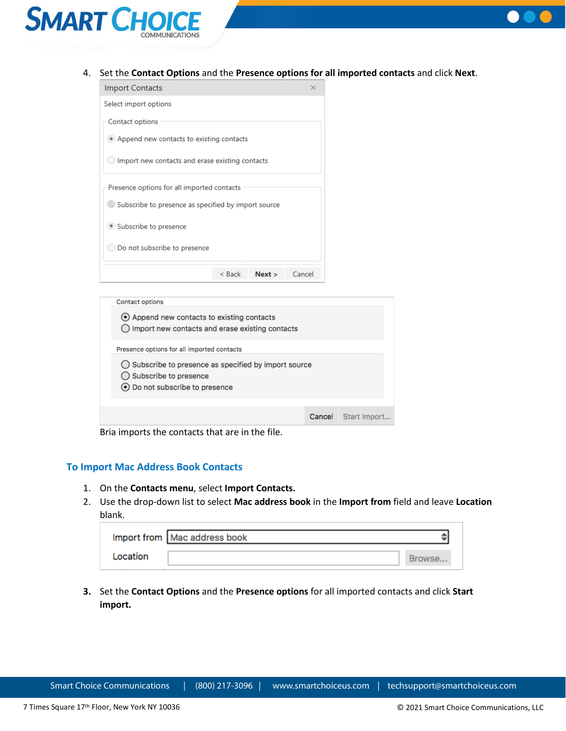



4. Set the **Contact Options** and the **Presence options for all imported contacts** and click **Next**.

| Import Contacts                                     |          |      | $\times$ |  |
|-----------------------------------------------------|----------|------|----------|--|
| Select import options                               |          |      |          |  |
| Contact options                                     |          |      |          |  |
| • Append new contacts to existing contacts          |          |      |          |  |
| Import new contacts and erase existing contacts     |          |      |          |  |
| Presence options for all imported contacts          |          |      |          |  |
| Subscribe to presence as specified by import source |          |      |          |  |
| · Subscribe to presence                             |          |      |          |  |
| Do not subscribe to presence                        |          |      |          |  |
|                                                     | $<$ Back | Next | Cancel   |  |
|                                                     |          |      |          |  |

| <b>Contact options</b>                                                                                                      |        |              |  |
|-----------------------------------------------------------------------------------------------------------------------------|--------|--------------|--|
| (•) Append new contacts to existing contacts<br>$\bigcirc$ Import new contacts and erase existing contacts                  |        |              |  |
| Presence options for all imported contacts                                                                                  |        |              |  |
| $\bigcirc$ Subscribe to presence as specified by import source<br>◯ Subscribe to presence<br>⊙ Do not subscribe to presence |        |              |  |
|                                                                                                                             |        |              |  |
|                                                                                                                             | Cancel | Start Import |  |

Bria imports the contacts that are in the file.

#### <span id="page-13-0"></span>**To Import Mac Address Book Contacts**

- 1. On the **Contacts menu**, select **Import Contacts.**
- 2. Use the drop-down list to select **Mac address book** in the **Import from** field and leave **Location** blank.

|          | Import from   Mac address book |  |
|----------|--------------------------------|--|
| Location |                                |  |

**3.** Set the **Contact Options** and the **Presence options** for all imported contacts and click **Start import.**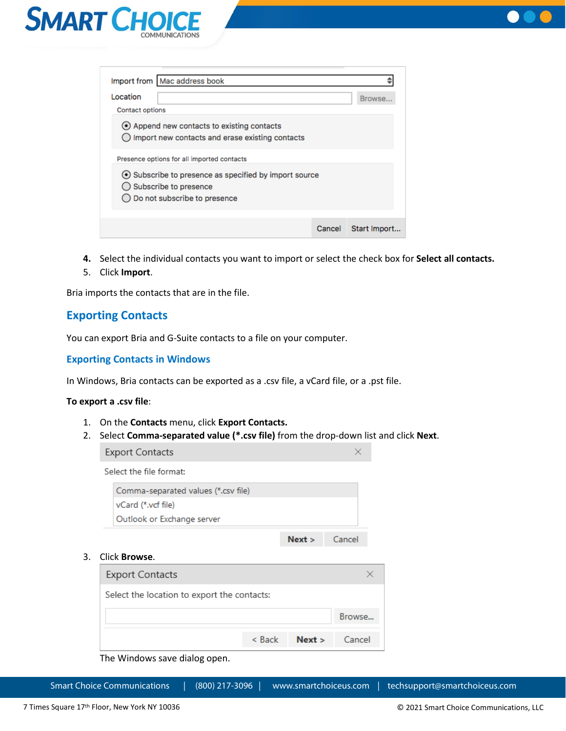



| Import from   Mac address book                                                                                                                               |        |              |
|--------------------------------------------------------------------------------------------------------------------------------------------------------------|--------|--------------|
| Location<br>Contact options                                                                                                                                  |        | Browse.      |
| (•) Append new contacts to existing contacts<br>Import new contacts and erase existing contacts                                                              |        |              |
| Presence options for all imported contacts<br>⊙ Subscribe to presence as specified by import source<br>Subscribe to presence<br>Do not subscribe to presence |        |              |
|                                                                                                                                                              | Cancel | Start Import |

- **4.** Select the individual contacts you want to import or select the check box for **Select all contacts.**
- 5. Click **Import**.

Bria imports the contacts that are in the file.

## <span id="page-14-0"></span>**Exporting Contacts**

You can export Bria and G-Suite contacts to a file on your computer.

#### <span id="page-14-1"></span>**Exporting Contacts in Windows**

In Windows, Bria contacts can be exported as a .csv file, a vCard file, or a .pst file.

#### **To export a .csv file**:

- 1. On the **Contacts** menu, click **Export Contacts.**
- 2. Select **Comma-separated value (\*.csv file)** from the drop-down list and click **Next**.

 $\times$ 

**Export Contacts** 

Select the file format:

| Comma-separated values (*.csv file) |                 |  |
|-------------------------------------|-----------------|--|
| vCard (*.vcf file)                  |                 |  |
| Outlook or Exchange server          |                 |  |
|                                     | $Next >$ Cancel |  |

#### 3. Click **Browse**.

| <b>Export Contacts</b>                      |          |        |        |
|---------------------------------------------|----------|--------|--------|
| Select the location to export the contacts: |          |        |        |
|                                             |          |        | Browse |
|                                             | $<$ Back | Next > | Cancel |

The Windows save dialog open.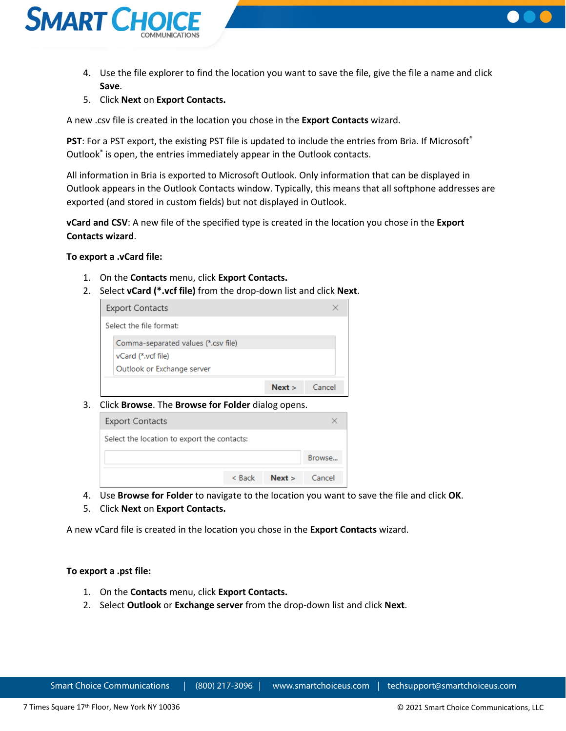

- 4. Use the file explorer to find the location you want to save the file, give the file a name and click **Save**.
- 5. Click **Next** on **Export Contacts.**

A new .csv file is created in the location you chose in the **Export Contacts** wizard.

**PST:** For a PST export, the existing PST file is updated to include the entries from Bria. If Microsoft<sup>®</sup> Outlook<sup>®</sup> is open, the entries immediately appear in the Outlook contacts.

All information in Bria is exported to Microsoft Outlook. Only information that can be displayed in Outlook appears in the Outlook Contacts window. Typically, this means that all softphone addresses are exported (and stored in custom fields) but not displayed in Outlook.

**vCard and CSV**: A new file of the specified type is created in the location you chose in the **Export Contacts wizard**.

#### **To export a .vCard file:**

- 1. On the **Contacts** menu, click **Export Contacts.**
- 2. Select **vCard (\*.vcf file)** from the drop-down list and click **Next**.

| <b>Export Contacts</b>              |      |        |
|-------------------------------------|------|--------|
| Select the file format:             |      |        |
| Comma-separated values (*.csv file) |      |        |
| vCard (*.vcf file)                  |      |        |
| Outlook or Exchange server          |      |        |
|                                     | Next | Cancel |

3. Click **Browse**. The **Browse for Folder** dialog opens.



- 4. Use **Browse for Folder** to navigate to the location you want to save the file and click **OK**.
- 5. Click **Next** on **Export Contacts.**

A new vCard file is created in the location you chose in the **Export Contacts** wizard.

#### **To export a .pst file:**

- 1. On the **Contacts** menu, click **Export Contacts.**
- 2. Select **Outlook** or **Exchange server** from the drop-down list and click **Next**.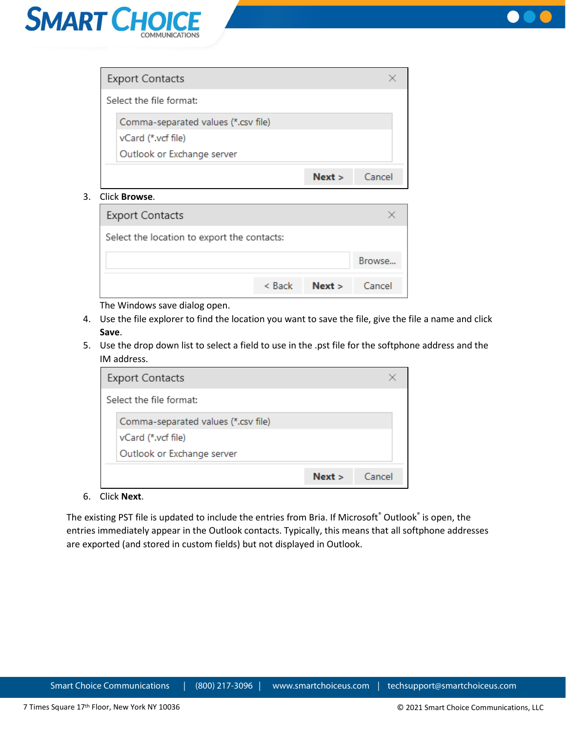



| <b>Export Contacts</b>              |      |        |
|-------------------------------------|------|--------|
| Select the file format:             |      |        |
| Comma-separated values (*.csv file) |      |        |
| vCard (*.vcf file)                  |      |        |
| Outlook or Exchange server          |      |        |
|                                     | Next | Cancel |

3. Click **Browse**.

| <b>Export Contacts</b>                      |          |        |        |
|---------------------------------------------|----------|--------|--------|
| Select the location to export the contacts: |          |        |        |
|                                             |          |        | Browse |
|                                             | $<$ Back | Next > | Cancel |

The Windows save dialog open.

- 4. Use the file explorer to find the location you want to save the file, give the file a name and click **Save**.
- 5. Use the drop down list to select a field to use in the .pst file for the softphone address and the IM address.

|                                     | Next | Cancel |
|-------------------------------------|------|--------|
| Outlook or Exchange server          |      |        |
| vCard (*.vcf file)                  |      |        |
| Comma-separated values (*.csv file) |      |        |
| Select the file format:             |      |        |
| <b>Export Contacts</b>              |      |        |

6. Click **Next**.

The existing PST file is updated to include the entries from Bria. If Microsoft® Outlook® is open, the entries immediately appear in the Outlook contacts. Typically, this means that all softphone addresses are exported (and stored in custom fields) but not displayed in Outlook.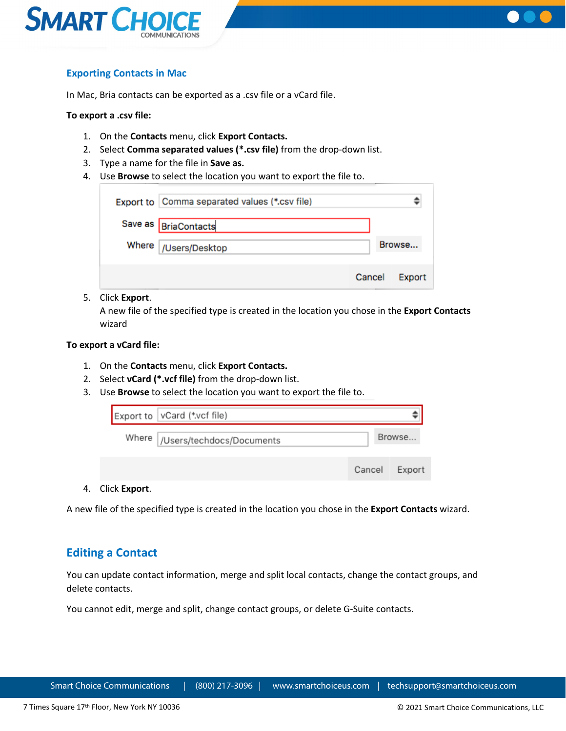



## <span id="page-17-0"></span>**Exporting Contacts in Mac**

In Mac, Bria contacts can be exported as a .csv file or a vCard file.

#### **To export a .csv file:**

- 1. On the **Contacts** menu, click **Export Contacts.**
- 2. Select **Comma separated values (\*.csv file)** from the drop-down list.
- 3. Type a name for the file in **Save as.**
- 4. Use **Browse** to select the location you want to export the file to.

| Export to Comma separated values (*.csv file) |        |        |
|-----------------------------------------------|--------|--------|
| Save as BriaContacts                          |        |        |
| Where   /Users/Desktop                        |        | Browse |
|                                               | Cancel | Export |

#### 5. Click **Export**.

A new file of the specified type is created in the location you chose in the **Export Contacts**  wizard

#### **To export a vCard file:**

- 1. On the **Contacts** menu, click **Export Contacts.**
- 2. Select **vCard (\*.vcf file)** from the drop-down list.
- 3. Use **Browse** to select the location you want to export the file to.

|              | Export to   vCard (*.vcf file)   |        |        |
|--------------|----------------------------------|--------|--------|
|              | Where  /Users/techdocs/Documents |        | Browse |
|              |                                  | Cancel | Export |
| Click Evnort |                                  |        |        |

4. Click **Export**.

A new file of the specified type is created in the location you chose in the **Export Contacts** wizard.

## <span id="page-17-1"></span>**Editing a Contact**

You can update contact information, merge and split local contacts, change the contact groups, and delete contacts.

You cannot edit, merge and split, change contact groups, or delete G-Suite contacts.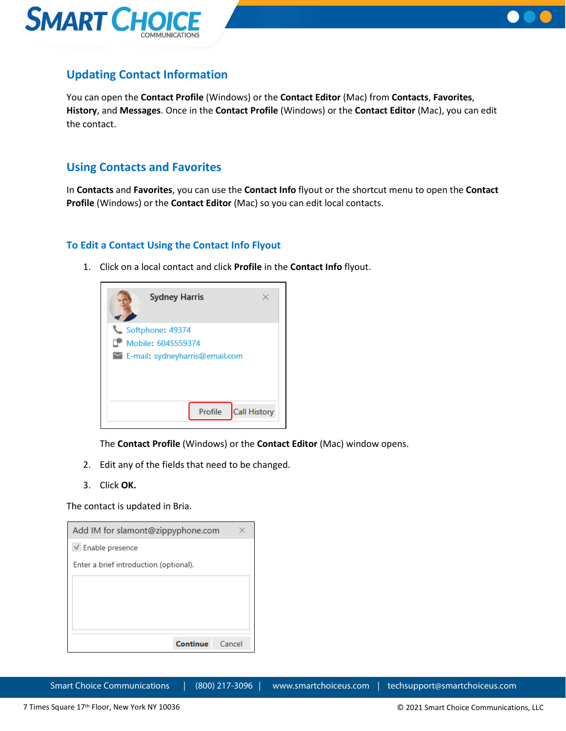



## <span id="page-18-0"></span>**Updating Contact Information**

You can open the **Contact Profile** (Windows) or the **Contact Editor** (Mac) from **Contacts**, **Favorites**, **History**, and **Messages**. Once in the **Contact Profile** (Windows) or the **Contact Editor** (Mac), you can edit the contact.

## <span id="page-18-1"></span>**Using Contacts and Favorites**

In **Contacts** and **Favorites**, you can use the **Contact Info** flyout or the shortcut menu to open the **Contact Profile** (Windows) or the **Contact Editor** (Mac) so you can edit local contacts.

## <span id="page-18-2"></span>**To Edit a Contact Using the Contact Info Flyout**

1. Click on a local contact and click **Profile** in the **Contact Info** flyout.



The **Contact Profile** (Windows) or the **Contact Editor** (Mac) window opens.

- 2. Edit any of the fields that need to be changed.
- 3. Click **OK.**

The contact is updated in Bria.

| Add IM for slamont@zippyphone.com      |  |
|----------------------------------------|--|
| $\vee$ Enable presence                 |  |
| Enter a brief introduction (optional). |  |
|                                        |  |
|                                        |  |
|                                        |  |
|                                        |  |
| Continue<br>Cancel                     |  |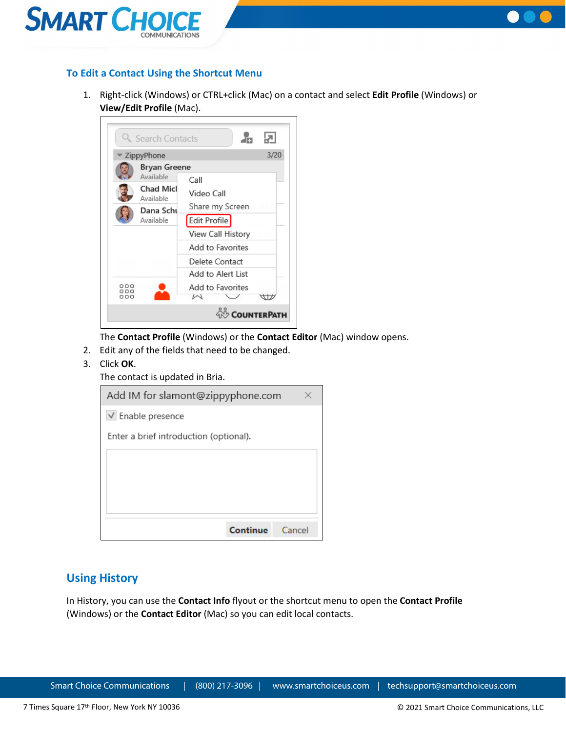



### <span id="page-19-0"></span>**To Edit a Contact Using the Shortcut Menu**

1. Right-click (Windows) or CTRL+click (Mac) on a contact and select **Edit Profile** (Windows) or **View/Edit Profile** (Mac).



The **Contact Profile** (Windows) or the **Contact Editor** (Mac) window opens.

- 2. Edit any of the fields that need to be changed.
- 3. Click **OK**.
	- The contact is updated in Bria.

| Add IM for slamont@zippyphone.com      |        |
|----------------------------------------|--------|
| $\vee$ Enable presence                 |        |
| Enter a brief introduction (optional). |        |
|                                        |        |
|                                        |        |
|                                        |        |
|                                        |        |
| Continue                               | Cancel |

## <span id="page-19-1"></span>**Using History**

In History, you can use the **Contact Info** flyout or the shortcut menu to open the **Contact Profile** (Windows) or the **Contact Editor** (Mac) so you can edit local contacts.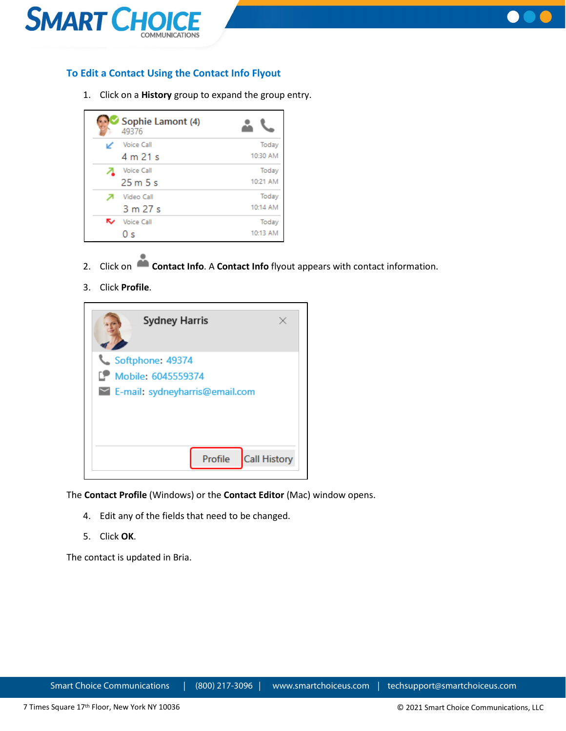



## <span id="page-20-0"></span>**To Edit a Contact Using the Contact Info Flyout**

1. Click on a **History** group to expand the group entry.

|   | Sophie Lamont (4)<br>49376 |          |
|---|----------------------------|----------|
|   | <b>Voice Call</b>          | Today    |
|   | 4 m 21 s                   | 10:30 AM |
|   | <b>Voice Call</b>          | Today    |
|   | 25m5s                      | 10:21 AM |
|   | Video Call                 | Today    |
|   | 3 m 27 s                   | 10:14 AM |
| ↜ | <b>Voice Call</b>          | Today    |
|   | 0 s                        | 10:13 AM |

- 2. Click on **Contact Info**. A **Contact Info** flyout appears with contact information.
- 3. Click **Profile**.



The **Contact Profile** (Windows) or the **Contact Editor** (Mac) window opens.

- 4. Edit any of the fields that need to be changed.
- 5. Click **OK**.

The contact is updated in Bria.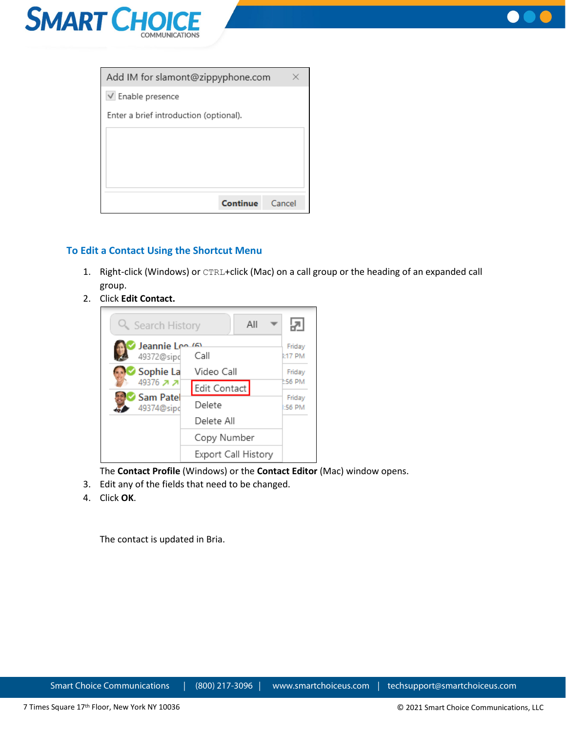



| Add IM for slamont@zippyphone.com      |  |
|----------------------------------------|--|
| $\vee$ Enable presence                 |  |
| Enter a brief introduction (optional). |  |
|                                        |  |
|                                        |  |
|                                        |  |
|                                        |  |
| Continue<br>Cancel                     |  |

## <span id="page-21-0"></span>**To Edit a Contact Using the Shortcut Menu**

- 1. Right-click (Windows) or CTRL+click (Mac) on a call group or the heading of an expanded call group.
- 2. Click **Edit Contact.**



The **Contact Profile** (Windows) or the **Contact Editor** (Mac) window opens.

- 3. Edit any of the fields that need to be changed.
- 4. Click **OK**.

The contact is updated in Bria.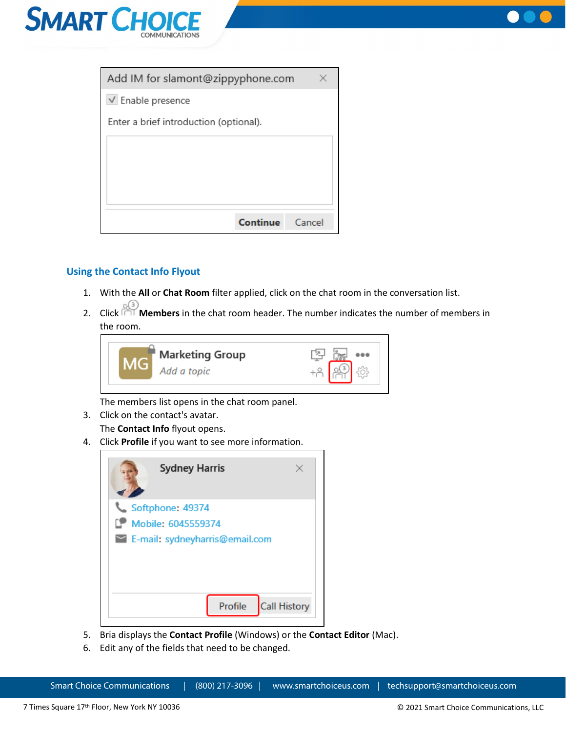



| Add IM for slamont@zippyphone.com      |        |
|----------------------------------------|--------|
| $\vee$ Enable presence                 |        |
| Enter a brief introduction (optional). |        |
|                                        |        |
|                                        |        |
|                                        |        |
|                                        |        |
| Continue                               | Cancel |

## <span id="page-22-0"></span>**Using the Contact Info Flyout**

- 1. With the **All** or **Chat Room** filter applied, click on the chat room in the conversation list.
- 2. Click **Members** in the chat room header. The number indicates the number of members in the room.



The members list opens in the chat room panel.

3. Click on the contact's avatar.

The **Contact Info** flyout opens.

4. Click **Profile** if you want to see more information.



- 5. Bria displays the **Contact Profile** (Windows) or the **Contact Editor** (Mac).
- 6. Edit any of the fields that need to be changed.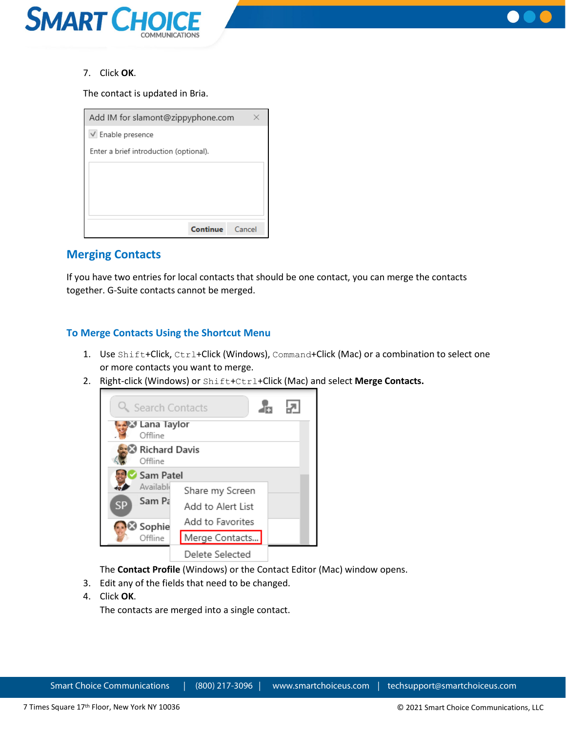



7. Click **OK**.

The contact is updated in Bria.

| Add IM for slamont@zippyphone.com      |  |
|----------------------------------------|--|
| $\vee$ Enable presence                 |  |
| Enter a brief introduction (optional). |  |
|                                        |  |
|                                        |  |
|                                        |  |
|                                        |  |
| Continue<br>Cancel                     |  |

## <span id="page-23-0"></span>**Merging Contacts**

If you have two entries for local contacts that should be one contact, you can merge the contacts together. G-Suite contacts cannot be merged.

## <span id="page-23-1"></span>**To Merge Contacts Using the Shortcut Menu**

- 1. Use Shift+Click, Ctrl+Click (Windows), Command+Click (Mac) or a combination to select one or more contacts you want to merge.
- 2. Right-click (Windows) or Shift+Ctrl+Click (Mac) and select **Merge Contacts.**



The **Contact Profile** (Windows) or the Contact Editor (Mac) window opens.

- 3. Edit any of the fields that need to be changed.
- 4. Click **OK**.

The contacts are merged into a single contact.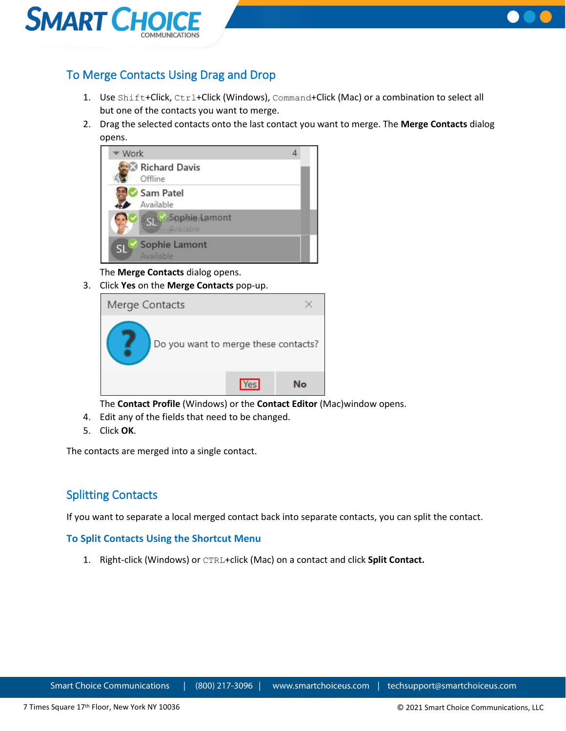



## <span id="page-24-0"></span>To Merge Contacts Using Drag and Drop

- 1. Use Shift+Click, Ctrl+Click (Windows), Command+Click (Mac) or a combination to select all but one of the contacts you want to merge.
- 2. Drag the selected contacts onto the last contact you want to merge. The **Merge Contacts** dialog opens.



The **Merge Contacts** dialog opens.

3. Click **Yes** on the **Merge Contacts** pop-up.

| Merge Contacts                       |            |    |
|--------------------------------------|------------|----|
| Do you want to merge these contacts? |            |    |
|                                      | <b>Yes</b> | N۰ |

The **Contact Profile** (Windows) or the **Contact Editor** (Mac)window opens.

- 4. Edit any of the fields that need to be changed.
- 5. Click **OK**.

The contacts are merged into a single contact.

## <span id="page-24-1"></span>Splitting Contacts

If you want to separate a local merged contact back into separate contacts, you can split the contact.

## <span id="page-24-2"></span>**To Split Contacts Using the Shortcut Menu**

1. Right-click (Windows) or CTRL+click (Mac) on a contact and click **Split Contact.**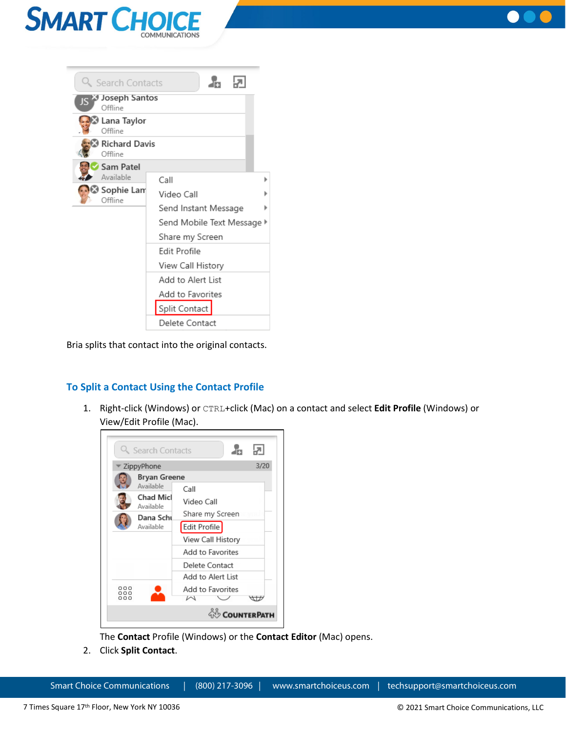



| Q Search Contacts                | dia.                       |  |
|----------------------------------|----------------------------|--|
| Joseph Santos<br>ا کا<br>Offline |                            |  |
| - Lana Taylor<br>Offline         |                            |  |
| <b>Richard Davis</b><br>Offline  |                            |  |
| Sam Patel                        |                            |  |
| Available                        | Call                       |  |
| Sophie Lam®<br>Offline           | Video Call                 |  |
|                                  | Send Instant Message       |  |
|                                  | Send Mobile Text Message ▶ |  |
| Share my Screen                  |                            |  |
|                                  | Edit Profile               |  |
|                                  | View Call History          |  |
|                                  | Add to Alert List          |  |
|                                  | Add to Favorites           |  |
|                                  | Split Contact              |  |
|                                  | Delete Contact             |  |

Bria splits that contact into the original contacts.

## <span id="page-25-0"></span>**To Split a Contact Using the Contact Profile**

1. Right-click (Windows) or CTRL+click (Mac) on a contact and select **Edit Profile** (Windows) or View/Edit Profile (Mac).



The **Contact** Profile (Windows) or the **Contact Editor** (Mac) opens.

2. Click **Split Contact**.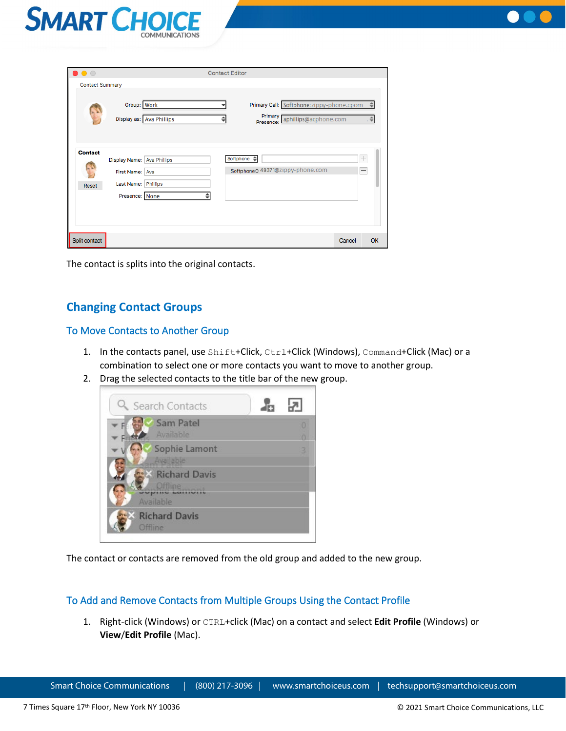



| $\bullet$ $\circ$       |                                                                      |                          | <b>Contact Editor</b> |                        |                                                                   |        |                  |
|-------------------------|----------------------------------------------------------------------|--------------------------|-----------------------|------------------------|-------------------------------------------------------------------|--------|------------------|
| <b>Contact Summary</b>  |                                                                      |                          |                       |                        |                                                                   |        |                  |
|                         | Group: Work                                                          | Display as: Ava Phillips |                       | Primary p<br>Presence: | Primary Call: Softphone:zippy-phone.cpom<br>aphillips@acphone.com |        | ≙<br>.≑          |
| <b>Contact</b><br>Reset | Display Name: Ava Phillips<br>First Name: Ava<br>Last Name: Phillips |                          |                       | Softphone $\triangleq$ | Softphone <sup>2</sup> 49371@zippy-phone.com                      |        | $\boldsymbol{+}$ |
|                         | Presence: None                                                       |                          |                       |                        |                                                                   |        |                  |
| Split contact           |                                                                      |                          |                       |                        |                                                                   | Cancel | OK               |

The contact is splits into the original contacts.

## <span id="page-26-0"></span>**Changing Contact Groups**

## <span id="page-26-1"></span>To Move Contacts to Another Group

- 1. In the contacts panel, use Shift+Click, Ctrl+Click (Windows), Command+Click (Mac) or a combination to select one or more contacts you want to move to another group.
- 2. Drag the selected contacts to the title bar of the new group.



The contact or contacts are removed from the old group and added to the new group.

## <span id="page-26-2"></span>To Add and Remove Contacts from Multiple Groups Using the Contact Profile

1. Right-click (Windows) or CTRL+click (Mac) on a contact and select **Edit Profile** (Windows) or **View**/**Edit Profile** (Mac).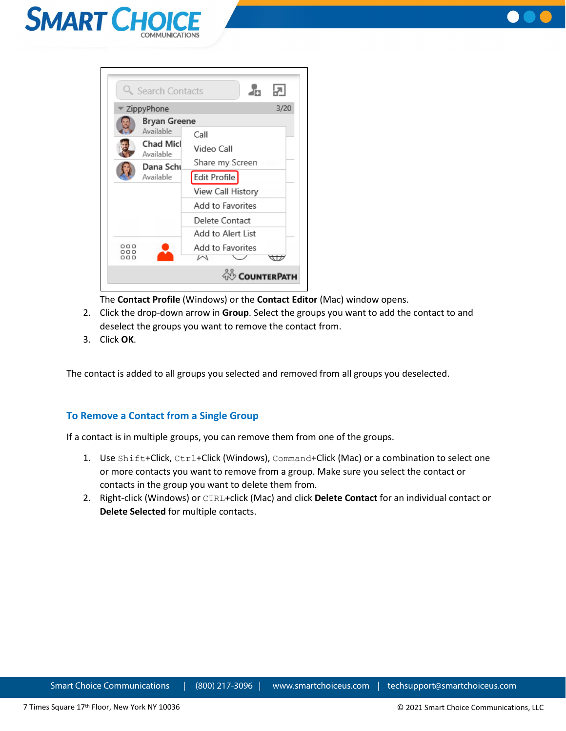





The **Contact Profile** (Windows) or the **Contact Editor** (Mac) window opens.

- 2. Click the drop-down arrow in **Group**. Select the groups you want to add the contact to and deselect the groups you want to remove the contact from.
- 3. Click **OK**.

The contact is added to all groups you selected and removed from all groups you deselected.

#### <span id="page-27-0"></span>**To Remove a Contact from a Single Group**

If a contact is in multiple groups, you can remove them from one of the groups.

- 1. Use Shift+Click, Ctrl+Click (Windows), Command+Click (Mac) or a combination to select one or more contacts you want to remove from a group. Make sure you select the contact or contacts in the group you want to delete them from.
- 2. Right-click (Windows) or CTRL+click (Mac) and click **Delete Contact** for an individual contact or **Delete Selected** for multiple contacts.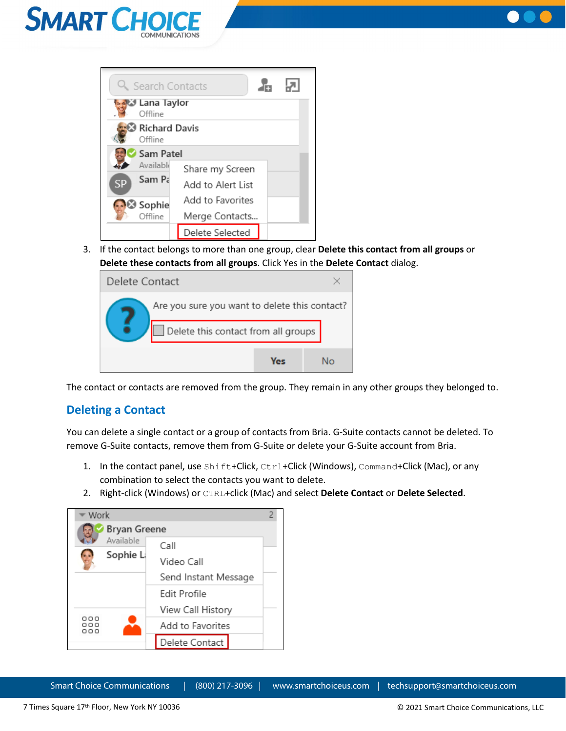



|           | Q Search Contacts             |                   |  |
|-----------|-------------------------------|-------------------|--|
|           | Lana Taylor الثالث<br>Offline |                   |  |
|           | Richard Davis<br>Offline      |                   |  |
|           | Sam Patel                     |                   |  |
|           | Availablı                     | Share my Screen   |  |
| <b>SP</b> | Sam Pa                        | Add to Alert List |  |
|           | Sophie                        | Add to Favorites  |  |
|           | Offline                       | Merge Contacts    |  |
|           |                               | Delete Selected   |  |

3. If the contact belongs to more than one group, clear **Delete this contact from all groups** or **Delete these contacts from all groups**. Click Yes in the **Delete Contact** dialog.

| Delete Contact |                                               |     |  |    |
|----------------|-----------------------------------------------|-----|--|----|
|                | Are you sure you want to delete this contact? |     |  |    |
|                | Delete this contact from all groups           |     |  |    |
|                |                                               | Ves |  | N۱ |

The contact or contacts are removed from the group. They remain in any other groups they belonged to.

## <span id="page-28-0"></span>**Deleting a Contact**

You can delete a single contact or a group of contacts from Bria. G-Suite contacts cannot be deleted. To remove G-Suite contacts, remove them from G-Suite or delete your G-Suite account from Bria.

- 1. In the contact panel, use Shift+Click, Ctrl+Click (Windows), Command+Click (Mac), or any combination to select the contacts you want to delete.
- 2. Right-click (Windows) or CTRL+click (Mac) and select **Delete Contact** or **Delete Selected**.

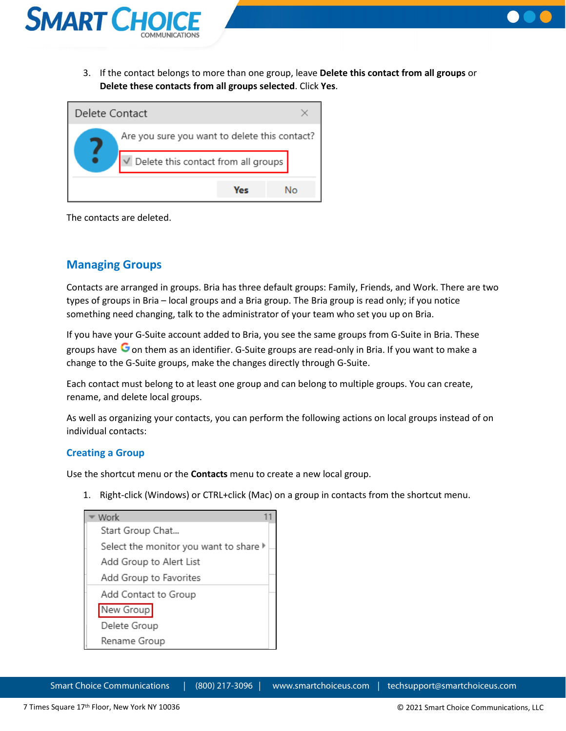

3. If the contact belongs to more than one group, leave **Delete this contact from all groups** or **Delete these contacts from all groups selected**. Click **Yes**.



The contacts are deleted.

## <span id="page-29-0"></span>**Managing Groups**

Contacts are arranged in groups. Bria has three default groups: Family, Friends, and Work. There are two types of groups in Bria – local groups and a Bria group. The Bria group is read only; if you notice something need changing, talk to the administrator of your team who set you up on Bria.

If you have your G-Suite account added to Bria, you see the same groups from G-Suite in Bria. These groups have  $\bullet$  on them as an identifier. G-Suite groups are read-only in Bria. If you want to make a change to the G-Suite groups, make the changes directly through G-Suite.

Each contact must belong to at least one group and can belong to multiple groups. You can create, rename, and delete local groups.

As well as organizing your contacts, you can perform the following actions on local groups instead of on individual contacts:

#### <span id="page-29-1"></span>**Creating a Group**

Use the shortcut menu or the **Contacts** menu to create a new local group.

1. Right-click (Windows) or CTRL+click (Mac) on a group in contacts from the shortcut menu.

| Work                                                       |  |
|------------------------------------------------------------|--|
| Start Group Chat                                           |  |
| Select the monitor you want to share $\blacktriangleright$ |  |
| Add Group to Alert List                                    |  |
| Add Group to Favorites                                     |  |
| Add Contact to Group                                       |  |
| New Group                                                  |  |
| Delete Group                                               |  |
| Rename Group                                               |  |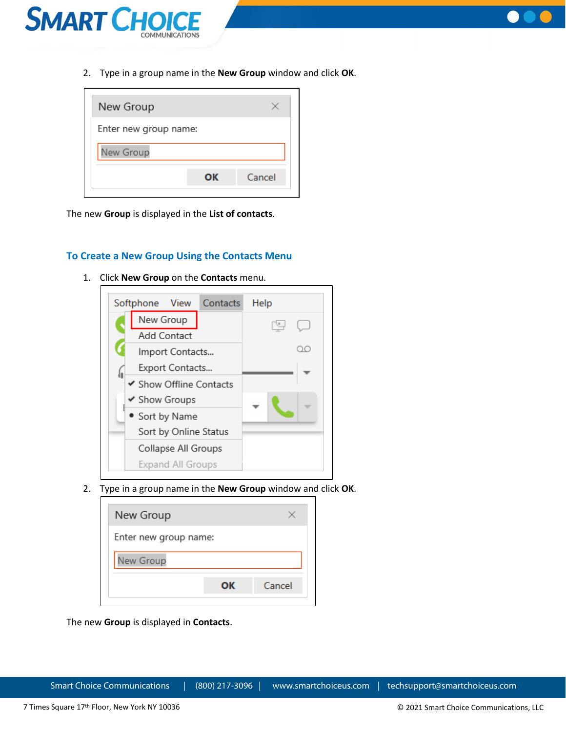



2. Type in a group name in the **New Group** window and click **OK**.

| Enter new group name: |        |  |  |  |
|-----------------------|--------|--|--|--|
|                       |        |  |  |  |
| ΟК                    | Cancel |  |  |  |
|                       |        |  |  |  |

The new **Group** is displayed in the **List of contacts**.

#### <span id="page-30-0"></span>**To Create a New Group Using the Contacts Menu**

1. Click **New Group** on the **Contacts** menu.



2. Type in a group name in the **New Group** window and click **OK**.

| New Group             |    |        |  |  |
|-----------------------|----|--------|--|--|
| Enter new group name: |    |        |  |  |
| New Group             |    |        |  |  |
|                       | OΚ | Cancel |  |  |

The new **Group** is displayed in **Contacts**.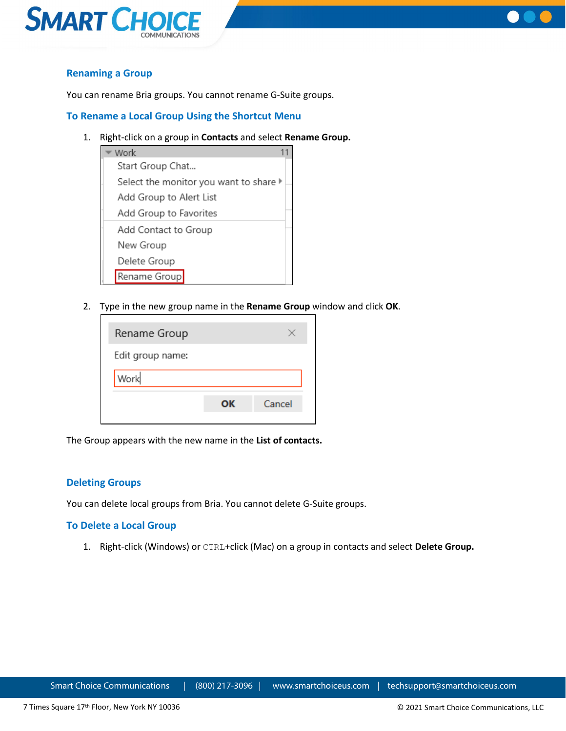



## <span id="page-31-0"></span>**Renaming a Group**

You can rename Bria groups. You cannot rename G-Suite groups.

#### <span id="page-31-1"></span>**To Rename a Local Group Using the Shortcut Menu**

1. Right-click on a group in **Contacts** and select **Rename Group.**



2. Type in the new group name in the **Rename Group** window and click **OK**.

| Cancel |
|--------|
|        |

The Group appears with the new name in the **List of contacts.**

#### <span id="page-31-2"></span>**Deleting Groups**

You can delete local groups from Bria. You cannot delete G-Suite groups.

#### <span id="page-31-3"></span>**To Delete a Local Group**

1. Right-click (Windows) or CTRL+click (Mac) on a group in contacts and select **Delete Group.**